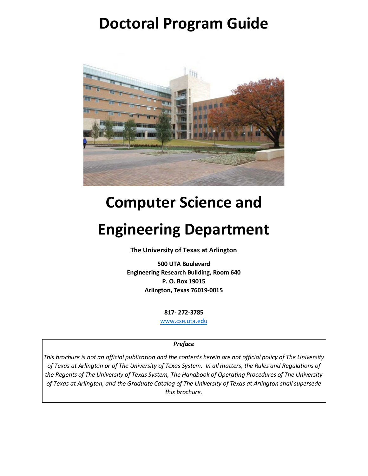# **Doctoral Program Guide**



# **Computer Science and**

# **Engineering Department**

**The University of Texas at Arlington**

**500 UTA Boulevard Engineering Research Building, Room 640 P. O. Box 19015 Arlington, Texas 76019-0015**

**817- 272-3785**

[www.cse.uta.edu](http://www.cse.uta.edu/)

#### *Preface*

*This brochure is not an official publication and the contents herein are not official policy of The University of Texas at Arlington or of The University of Texas System. In all matters, the Rules and Regulations of the Regents of The University of Texas System, The Handbook of Operating Procedures of The University of Texas at Arlington, and the Graduate Catalog of The University of Texas at Arlington shall supersede this brochure.*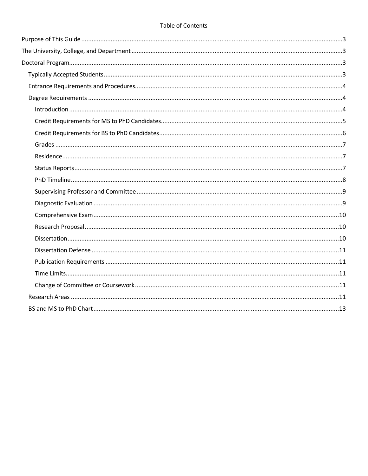#### Table of Contents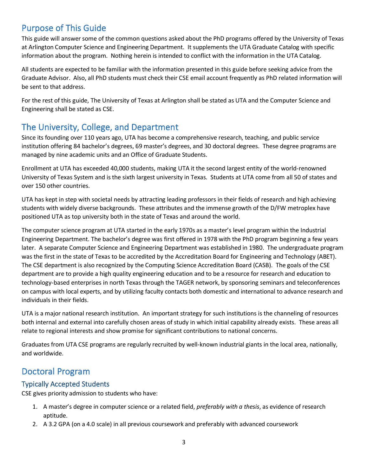# <span id="page-2-0"></span>Purpose of This Guide

This guide will answer some of the common questions asked about the PhD programs offered by the University of Texas at Arlington Computer Science and Engineering Department. It supplements the UTA Graduate Catalog with specific information about the program. Nothing herein is intended to conflict with the information in the UTA Catalog.

All students are expected to be familiar with the information presented in this guide before seeking advice from the Graduate Advisor. Also, all PhD students must check their CSE email account frequently as PhD related information will be sent to that address.

For the rest of this guide, The University of Texas at Arlington shall be stated as UTA and the Computer Science and Engineering shall be stated as CSE.

# <span id="page-2-1"></span>The University, College, and Department

Since its founding over 110 years ago, UTA has become a comprehensive research, teaching, and public service institution offering 84 bachelor's degrees, 69 master's degrees, and 30 doctoral degrees. These degree programs are managed by nine academic units and an Office of Graduate Students.

Enrollment at UTA has exceeded 40,000 students, making UTA it the second largest entity of the world-renowned University of Texas System and is the sixth largest university in Texas. Students at UTA come from all 50 of states and over 150 other countries.

UTA has kept in step with societal needs by attracting leading professors in their fields of research and high achieving students with widely diverse backgrounds. These attributes and the immense growth of the D/FW metroplex have positioned UTA as top university both in the state of Texas and around the world.

The computer science program at UTA started in the early 1970s as a master's level program within the Industrial Engineering Department. The bachelor's degree was first offered in 1978 with the PhD program beginning a few years later. A separate Computer Science and Engineering Department was established in 1980. The undergraduate program was the first in the state of Texas to be accredited by the Accreditation Board for Engineering and Technology (ABET). The CSE department is also recognized by the Computing Science Accreditation Board (CASB). The goals of the CSE department are to provide a high quality engineering education and to be a resource for research and education to technology-based enterprises in north Texas through the TAGER network, by sponsoring seminars and teleconferences on campus with local experts, and by utilizing faculty contacts both domestic and international to advance research and individuals in their fields.

UTA is a major national research institution. An important strategy for such institutions is the channeling of resources both internal and external into carefully chosen areas of study in which initial capability already exists. These areas all relate to regional interests and show promise for significant contributions to national concerns.

Graduates from UTA CSE programs are regularly recruited by well-known industrial giants in the local area, nationally, and worldwide.

# <span id="page-2-2"></span>Doctoral Program

# <span id="page-2-3"></span>Typically Accepted Students

CSE gives priority admission to students who have:

- 1. A master's degree in computer science or a related field, *preferably with a thesis*, as evidence of research aptitude.
- 2. A 3.2 GPA (on a 4.0 scale) in all previous coursework and preferably with advanced coursework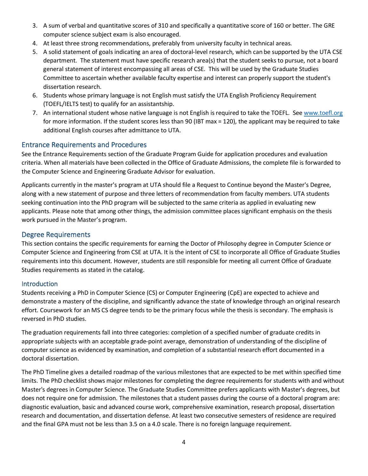- 3. A sum of verbal and quantitative scores of 310 and specifically a quantitative score of 160 or better. The GRE computer science subject exam is also encouraged.
- 4. At least three strong recommendations, preferably from university faculty in technical areas.
- 5. A solid statement of goals indicating an area of doctoral-level research, which can be supported by the UTA CSE department. The statement must have specific research area(s) that the student seeks to pursue, not a board general statement of interest encompassing all areas of CSE. This will be used by the Graduate Studies Committee to ascertain whether available faculty expertise and interest can properly support the student's dissertation research.
- 6. Students whose primary language is not English must satisfy the UTA English Proficiency Requirement (TOEFL/IELTS test) to qualify for an assistantship.
- 7. An international student whose native language is not English is required to take the TOEFL. Se[e www.toefl.org](http://www.toefl.org/) for more information. If the student scores less than 90 (IBT max = 120), the applicant may be required to take additional English courses after admittance to UTA.

# <span id="page-3-0"></span>Entrance Requirements and Procedures

See the Entrance Requirements section of the Graduate Program Guide for application procedures and evaluation criteria. When all materials have been collected in the Office of Graduate Admissions, the complete file is forwarded to the Computer Science and Engineering Graduate Advisor for evaluation.

Applicants currently in the master's program at UTA should file a Request to Continue beyond the Master's Degree, along with a new statement of purpose and three letters of recommendation from faculty members. UTA students seeking continuation into the PhD program will be subjected to the same criteria as applied in evaluating new applicants. Please note that among other things, the admission committee places significant emphasis on the thesis work pursued in the Master's program.

# <span id="page-3-1"></span>Degree Requirements

This section contains the specific requirements for earning the Doctor of Philosophy degree in Computer Science or Computer Science and Engineering from CSE at UTA. It is the intent of CSE to incorporate all Office of Graduate Studies requirements into this document. However, students are still responsible for meeting all current Office of Graduate Studies requirements as stated in the catalog.

# <span id="page-3-2"></span>Introduction

Students receiving a PhD in Computer Science (CS) or Computer Engineering (CpE) are expected to achieve and demonstrate a mastery of the discipline, and significantly advance the state of knowledge through an original research effort. Coursework for an MS CS degree tends to be the primary focus while the thesis is secondary. The emphasis is reversed in PhD studies.

The graduation requirements fall into three categories: completion of a specified number of graduate credits in appropriate subjects with an acceptable grade-point average, demonstration of understanding of the discipline of computer science as evidenced by examination, and completion of a substantial research effort documented in a doctoral dissertation.

The PhD Timeline gives a detailed roadmap of the various milestones that are expected to be met within specified time limits. The PhD checklist shows major milestones for completing the degree requirements for students with and without Master's degrees in Computer Science. The Graduate Studies Committee prefers applicants with Master's degrees, but does not require one for admission. The milestones that a student passes during the course of a doctoral program are: diagnostic evaluation, basic and advanced course work, comprehensive examination, research proposal, dissertation research and documentation, and dissertation defense. At least two consecutive semesters of residence are required and the final GPA must not be less than 3.5 on a 4.0 scale. There is no foreign language requirement.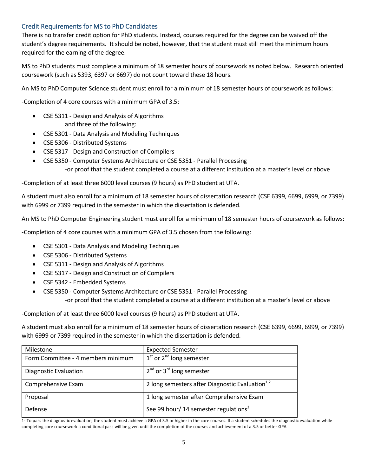# <span id="page-4-0"></span>Credit Requirements for MS to PhD Candidates

There is no transfer credit option for PhD students. Instead, courses required for the degree can be waived off the student's degree requirements. It should be noted, however, that the student must still meet the minimum hours required for the earning of the degree.

MS to PhD students must complete a minimum of 18 semester hours of coursework as noted below. Research oriented coursework (such as 5393, 6397 or 6697) do not count toward these 18 hours.

An MS to PhD Computer Science student must enroll for a minimum of 18 semester hours of coursework as follows:

-Completion of 4 core courses with a minimum GPA of 3.5:

- CSE 5311 Design and Analysis of Algorithms and three of the following:
- CSE 5301 Data Analysis and Modeling Techniques
- CSE 5306 Distributed Systems
- CSE 5317 Design and Construction of Compilers
- CSE 5350 Computer Systems Architecture or CSE 5351 Parallel Processing -or proof that the student completed a course at a different institution at a master's level or above

-Completion of at least three 6000 level courses (9 hours) as PhD student at UTA.

A student must also enroll for a minimum of 18 semester hours of dissertation research (CSE 6399, 6699, 6999, or 7399) with 6999 or 7399 required in the semester in which the dissertation is defended.

An MS to PhD Computer Engineering student must enroll for a minimum of 18 semester hours of coursework as follows:

-Completion of 4 core courses with a minimum GPA of 3.5 chosen from the following:

- CSE 5301 Data Analysis and Modeling Techniques
- CSE 5306 Distributed Systems
- CSE 5311 Design and Analysis of Algorithms
- CSE 5317 Design and Construction of Compilers
- CSE 5342 Embedded Systems
- CSE 5350 Computer Systems Architecture or CSE 5351 Parallel Processing
	- -or proof that the student completed a course at a different institution at a master's level or above

-Completion of at least three 6000 level courses (9 hours) as PhD student at UTA.

A student must also enroll for a minimum of 18 semester hours of dissertation research (CSE 6399, 6699, 6999, or 7399) with 6999 or 7399 required in the semester in which the dissertation is defended.

| Milestone                          | <b>Expected Semester</b>                           |
|------------------------------------|----------------------------------------------------|
| Form Committee - 4 members minimum | $1st$ or $2nd$ long semester                       |
| Diagnostic Evaluation              | $2^{nd}$ or $3^{rd}$ long semester                 |
| Comprehensive Exam                 | 2 long semesters after Diagnostic Evaluation $1,2$ |
| Proposal                           | 1 long semester after Comprehensive Exam           |
| Defense                            | See 99 hour/14 semester regulations <sup>3</sup>   |

1- To pass the diagnostic evaluation, the student must achieve a GPA of 3.5 or higher in the core courses. If a student schedules the diagnostic evaluation while completing core coursework a conditional pass will be given until the completion of the courses and achievement of a 3.5 or better GPA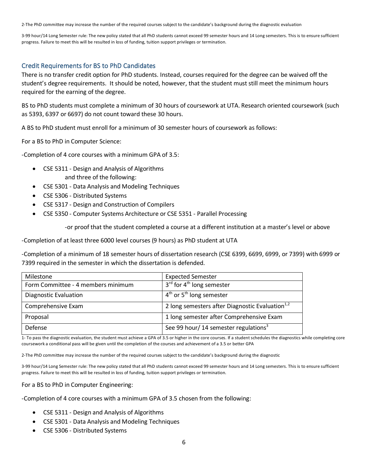2-The PhD committee may increase the number of the required courses subject to the candidate's background during the diagnostic evaluation

3-99 hour/14 Long Semester rule: The new policy stated that all PhD students cannot exceed 99 semester hours and 14 Long semesters. This is to ensure sufficient progress. Failure to meet this will be resulted in loss of funding, tuition support privileges or termination.

## <span id="page-5-0"></span>Credit Requirements for BS to PhD Candidates

There is no transfer credit option for PhD students. Instead, courses required for the degree can be waived off the student's degree requirements. It should be noted, however, that the student must still meet the minimum hours required for the earning of the degree.

BS to PhD students must complete a minimum of 30 hours of coursework at UTA. Research oriented coursework (such as 5393, 6397 or 6697) do not count toward these 30 hours.

A BS to PhD student must enroll for a minimum of 30 semester hours of coursework as follows:

For a BS to PhD in Computer Science:

-Completion of 4 core courses with a minimum GPA of 3.5:

- CSE 5311 Design and Analysis of Algorithms and three of the following:
- CSE 5301 Data Analysis and Modeling Techniques
- CSE 5306 Distributed Systems
- CSE 5317 Design and Construction of Compilers
- CSE 5350 Computer Systems Architecture or CSE 5351 Parallel Processing

-or proof that the student completed a course at a different institution at a master's level or above

-Completion of at least three 6000 level courses (9 hours) as PhD student at UTA

-Completion of a minimum of 18 semester hours of dissertation research (CSE 6399, 6699, 6999, or 7399) with 6999 or 7399 required in the semester in which the dissertation is defended.

| Milestone                          | <b>Expected Semester</b>                           |
|------------------------------------|----------------------------------------------------|
| Form Committee - 4 members minimum | $3^{rd}$ for 4 <sup>th</sup> long semester         |
| Diagnostic Evaluation              | $4th$ or 5 <sup>th</sup> long semester             |
| Comprehensive Exam                 | 2 long semesters after Diagnostic Evaluation $1,2$ |
| Proposal                           | 1 long semester after Comprehensive Exam           |
| Defense                            | See 99 hour/14 semester regulations <sup>3</sup>   |

1- To pass the diagnostic evaluation, the student must achieve a GPA of 3.5 or higher in the core courses. If a student schedules the diagnostics while completing core coursework a conditional pass will be given until the completion of the courses and achievement of a 3.5 or better GPA

2-The PhD committee may increase the number of the required courses subject to the candidate's background during the diagnostic

3-99 hour/14 Long Semester rule: The new policy stated that all PhD students cannot exceed 99 semester hours and 14 Long semesters. This is to ensure sufficient progress. Failure to meet this will be resulted in loss of funding, tuition support privileges or termination.

For a BS to PhD in Computer Engineering:

-Completion of 4 core courses with a minimum GPA of 3.5 chosen from the following:

- CSE 5311 Design and Analysis of Algorithms
- CSE 5301 Data Analysis and Modeling Techniques
- CSE 5306 Distributed Systems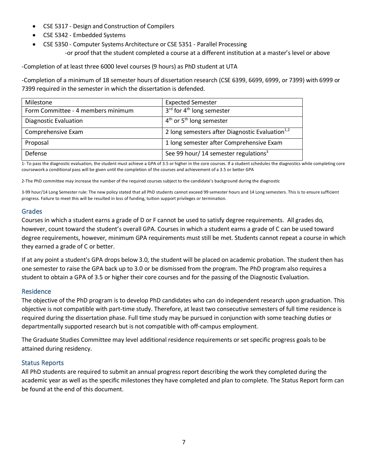- CSE 5317 Design and Construction of Compilers
- CSE 5342 Embedded Systems
- CSE 5350 Computer Systems Architecture or CSE 5351 Parallel Processing -or proof that the student completed a course at a different institution at a master's level or above

-Completion of at least three 6000 level courses (9 hours) as PhD student at UTA

-Completion of a minimum of 18 semester hours of dissertation research (CSE 6399, 6699, 6999, or 7399) with 6999 or 7399 required in the semester in which the dissertation is defended.

| Milestone                          | <b>Expected Semester</b>                           |  |  |
|------------------------------------|----------------------------------------------------|--|--|
| Form Committee - 4 members minimum | $3^{rd}$ for $4^{th}$ long semester                |  |  |
| Diagnostic Evaluation              | $4th$ or 5 <sup>th</sup> long semester             |  |  |
| Comprehensive Exam                 | 2 long semesters after Diagnostic Evaluation $1,2$ |  |  |
| Proposal                           | 1 long semester after Comprehensive Exam           |  |  |
| Defense                            | See 99 hour/14 semester regulations <sup>3</sup>   |  |  |

1- To pass the diagnostic evaluation, the student must achieve a GPA of 3.5 or higher in the core courses. If a student schedules the diagnostics while completing core coursework a conditional pass will be given until the completion of the courses and achievement of a 3.5 or better GPA

2-The PhD committee may increase the number of the required courses subject to the candidate's background during the diagnostic

3-99 hour/14 Long Semester rule: The new policy stated that all PhD students cannot exceed 99 semester hours and 14 Long semesters. This is to ensure sufficient progress. Failure to meet this will be resulted in loss of funding, tuition support privileges or termination.

# <span id="page-6-0"></span>Grades

Courses in which a student earns a grade of D or F cannot be used to satisfy degree requirements. All grades do, however, count toward the student's overall GPA. Courses in which a student earns a grade of C can be used toward degree requirements, however, minimum GPA requirements must still be met. Students cannot repeat a course in which they earned a grade of C or better.

If at any point a student's GPA drops below 3.0, the student will be placed on academic probation. The student then has one semester to raise the GPA back up to 3.0 or be dismissed from the program. The PhD program also requires a student to obtain a GPA of 3.5 or higher their core courses and for the passing of the Diagnostic Evaluation.

# <span id="page-6-1"></span>Residence

The objective of the PhD program is to develop PhD candidates who can do independent research upon graduation. This objective is not compatible with part-time study. Therefore, at least two consecutive semesters of full time residence is required during the dissertation phase. Full time study may be pursued in conjunction with some teaching duties or departmentally supported research but is not compatible with off-campus employment.

The Graduate Studies Committee may level additional residence requirements or set specific progress goals to be attained during residency.

# <span id="page-6-2"></span>Status Reports

All PhD students are required to submit an annual progress report describing the work they completed during the academic year as well as the specific milestones they have completed and plan to complete. The Status Report form can be found at the end of this document.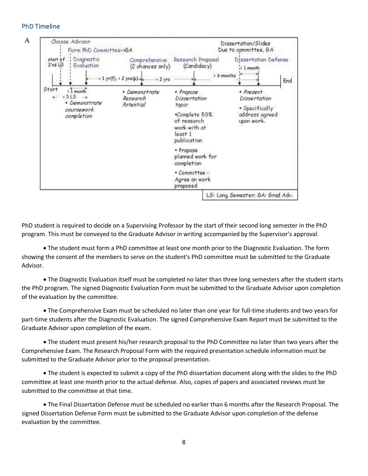#### <span id="page-7-0"></span>PhD Timeline



PhD student is required to decide on a Supervising Professor by the start of their second long semester in the PhD program. This must be conveyed to the Graduate Advisor in writing accompanied by the Supervisor's approval.

• The student must form a PhD committee at least one month prior to the Diagnostic Evaluation. The form showing the consent of the members to serve on the student's PhD committee must be submitted to the Graduate Advisor.

• The Diagnostic Evaluation itself must be completed no later than three long semesters after the student starts the PhD program. The signed Diagnostic Evaluation Form must be submitted to the Graduate Advisor upon completion of the evaluation by the committee.

• The Comprehensive Exam must be scheduled no later than one year for full-time students and two years for part-time students after the Diagnostic Evaluation. The signed Comprehensive Exam Report must be submitted to the Graduate Advisor upon completion of the exam.

• The student must present his/her research proposal to the PhD Committee no later than two years after the Comprehensive Exam. The Research Proposal Form with the required presentation schedule information must be submitted to the Graduate Advisor prior to the proposal presentation.

• The student is expected to submit a copy of the PhD dissertation document along with the slides to the PhD committee at least one month prior to the actual defense. Also, copies of papers and associated reviews must be submitted to the committee at that time.

• The Final Dissertation Defense must be scheduled no earlier than 6 months after the Research Proposal. The signed Dissertation Defense Form must be submitted to the Graduate Advisor upon completion of the defense evaluation by the committee.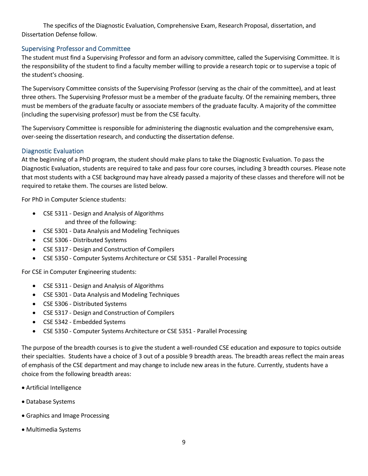The specifics of the Diagnostic Evaluation, Comprehensive Exam, Research Proposal, dissertation, and Dissertation Defense follow.

# <span id="page-8-0"></span>Supervising Professor and Committee

The student must find a Supervising Professor and form an advisory committee, called the Supervising Committee. It is the responsibility of the student to find a faculty member willing to provide a research topic or to supervise a topic of the student's choosing.

The Supervisory Committee consists of the Supervising Professor (serving as the chair of the committee), and at least three others. The Supervising Professor must be a member of the graduate faculty. Of the remaining members, three must be members of the graduate faculty or associate members of the graduate faculty. A majority of the committee (including the supervising professor) must be from the CSE faculty.

The Supervisory Committee is responsible for administering the diagnostic evaluation and the comprehensive exam, over-seeing the dissertation research, and conducting the dissertation defense.

## <span id="page-8-1"></span>Diagnostic Evaluation

At the beginning of a PhD program, the student should make plans to take the Diagnostic Evaluation. To pass the Diagnostic Evaluation, students are required to take and pass four core courses, including 3 breadth courses. Please note that most students with a CSE background may have already passed a majority of these classes and therefore will not be required to retake them. The courses are listed below.

For PhD in Computer Science students:

- CSE 5311 Design and Analysis of Algorithms and three of the following:
- CSE 5301 Data Analysis and Modeling Techniques
- CSE 5306 Distributed Systems
- CSE 5317 Design and Construction of Compilers
- CSE 5350 Computer Systems Architecture or CSE 5351 Parallel Processing

For CSE in Computer Engineering students:

- CSE 5311 Design and Analysis of Algorithms
- CSE 5301 Data Analysis and Modeling Techniques
- CSE 5306 Distributed Systems
- CSE 5317 Design and Construction of Compilers
- CSE 5342 Embedded Systems
- CSE 5350 Computer Systems Architecture or CSE 5351 Parallel Processing

The purpose of the breadth courses is to give the student a well-rounded CSE education and exposure to topics outside their specialties. Students have a choice of 3 out of a possible 9 breadth areas. The breadth areas reflect the main areas of emphasis of the CSE department and may change to include new areas in the future. Currently, students have a choice from the following breadth areas:

- Artificial Intelligence
- Database Systems
- Graphics and Image Processing
- Multimedia Systems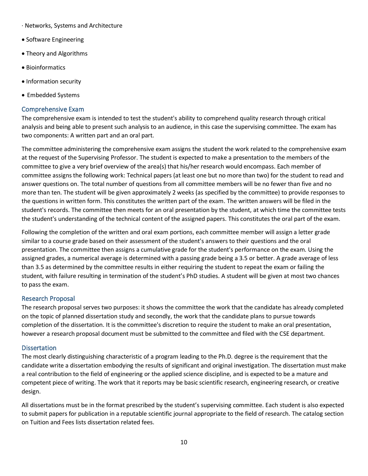- · Networks, Systems and Architecture
- Software Engineering
- Theory and Algorithms
- Bioinformatics
- Information security
- Embedded Systems

## <span id="page-9-0"></span>Comprehensive Exam

The comprehensive exam is intended to test the student's ability to comprehend quality research through critical analysis and being able to present such analysis to an audience, in this case the supervising committee. The exam has two components: A written part and an oral part.

The committee administering the comprehensive exam assigns the student the work related to the comprehensive exam at the request of the Supervising Professor. The student is expected to make a presentation to the members of the committee to give a very brief overview of the area(s) that his/her research would encompass. Each member of committee assigns the following work: Technical papers (at least one but no more than two) for the student to read and answer questions on. The total number of questions from all committee members will be no fewer than five and no more than ten. The student will be given approximately 2 weeks (as specified by the committee) to provide responses to the questions in written form. This constitutes the written part of the exam. The written answers will be filed in the student's records. The committee then meets for an oral presentation by the student, at which time the committee tests the student's understanding of the technical content of the assigned papers. This constitutes the oral part of the exam.

Following the completion of the written and oral exam portions, each committee member will assign a letter grade similar to a course grade based on their assessment of the student's answers to their questions and the oral presentation. The committee then assigns a cumulative grade for the student's performance on the exam. Using the assigned grades, a numerical average is determined with a passing grade being a 3.5 or better. A grade average of less than 3.5 as determined by the committee results in either requiring the student to repeat the exam or failing the student, with failure resulting in termination of the student's PhD studies. A student will be given at most two chances to pass the exam.

## <span id="page-9-1"></span>Research Proposal

The research proposal serves two purposes: it shows the committee the work that the candidate has already completed on the topic of planned dissertation study and secondly, the work that the candidate plans to pursue towards completion of the dissertation. It is the committee's discretion to require the student to make an oral presentation, however a research proposal document must be submitted to the committee and filed with the CSE department.

## <span id="page-9-2"></span>**Dissertation**

The most clearly distinguishing characteristic of a program leading to the Ph.D. degree is the requirement that the candidate write a dissertation embodying the results of significant and original investigation. The dissertation must make a real contribution to the field of engineering or the applied science discipline, and is expected to be a mature and competent piece of writing. The work that it reports may be basic scientific research, engineering research, or creative design.

All dissertations must be in the format prescribed by the student's supervising committee. Each student is also expected to submit papers for publication in a reputable scientific journal appropriate to the field of research. The catalog section on Tuition and Fees lists dissertation related fees.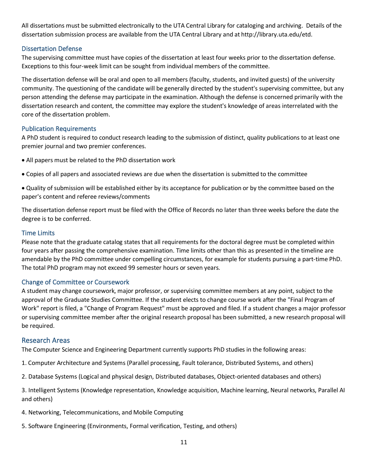All dissertations must be submitted electronically to the UTA Central Library for cataloging and archiving. Details of the dissertation submission process are available from the UTA Central Library and at http://library.uta.edu/etd.

## <span id="page-10-0"></span>Dissertation Defense

The supervising committee must have copies of the dissertation at least four weeks prior to the dissertation defense. Exceptions to this four-week limit can be sought from individual members of the committee.

The dissertation defense will be oral and open to all members (faculty, students, and invited guests) of the university community. The questioning of the candidate will be generally directed by the student's supervising committee, but any person attending the defense may participate in the examination. Although the defense is concerned primarily with the dissertation research and content, the committee may explore the student's knowledge of areas interrelated with the core of the dissertation problem.

#### <span id="page-10-1"></span>Publication Requirements

A PhD student is required to conduct research leading to the submission of distinct, quality publications to at least one premier journal and two premier conferences.

- All papers must be related to the PhD dissertation work
- Copies of all papers and associated reviews are due when the dissertation is submitted to the committee
- Quality of submission will be established either by its acceptance for publication or by the committee based on the paper's content and referee reviews/comments

The dissertation defense report must be filed with the Office of Records no later than three weeks before the date the degree is to be conferred.

## <span id="page-10-2"></span>Time Limits

Please note that the graduate catalog states that all requirements for the doctoral degree must be completed within four years after passing the comprehensive examination. Time limits other than this as presented in the timeline are amendable by the PhD committee under compelling circumstances, for example for students pursuing a part-time PhD. The total PhD program may not exceed 99 semester hours or seven years.

## <span id="page-10-3"></span>Change of Committee or Coursework

A student may change coursework, major professor, or supervising committee members at any point, subject to the approval of the Graduate Studies Committee. If the student elects to change course work after the "Final Program of Work" report is filed, a "Change of Program Request" must be approved and filed. If a student changes a major professor or supervising committee member after the original research proposal has been submitted, a new research proposal will be required.

## <span id="page-10-4"></span>Research Areas

The Computer Science and Engineering Department currently supports PhD studies in the following areas:

- 1. Computer Architecture and Systems (Parallel processing, Fault tolerance, Distributed Systems, and others)
- 2. Database Systems (Logical and physical design, Distributed databases, Object-oriented databases and others)

3. Intelligent Systems (Knowledge representation, Knowledge acquisition, Machine learning, Neural networks, Parallel AI and others)

- 4. Networking, Telecommunications, and Mobile Computing
- 5. Software Engineering (Environments, Formal verification, Testing, and others)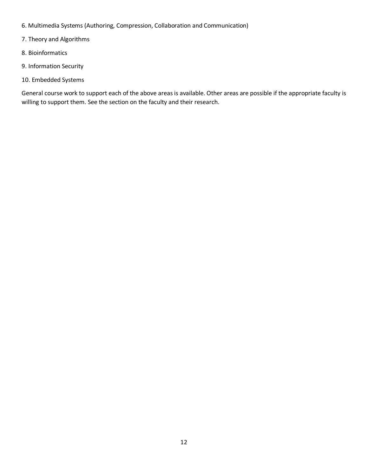- 6. Multimedia Systems (Authoring, Compression, Collaboration and Communication)
- 7. Theory and Algorithms
- 8. Bioinformatics
- 9. Information Security
- 10. Embedded Systems

General course work to support each of the above areas is available. Other areas are possible if the appropriate faculty is willing to support them. See the section on the faculty and their research.